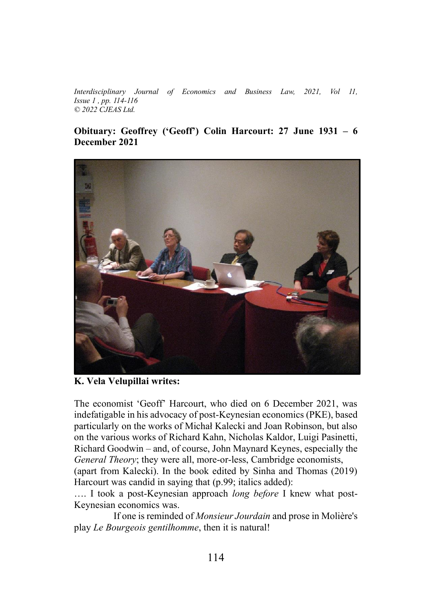*Interdisciplinary Journal of Economics and Business Law, 2021, Vol 11, Issue 1, pp. 114-116*  $\odot$  2022 *CJEAS Ltd.* 

## **Obituary: Geoffrey ('Geoff') Colin Harcourt: 27 June 1931 - 6 December 2021**



**K. Vela Velupillai writes:**

The economist 'Geoff' Harcourt, who died on 6 December 2021, was indefatigable in his advocacy of post-Keynesian economics (PKE), based particularly on the works of Michał Kalecki and Joan Robinson, but also on the various works of Richard Kahn, Nicholas Kaldor, Luigi Pasinetti,  $Richard Goodwin - and, of course, John Maynard Keynes, especially the$ *General Theory*; they were all, more-or-less, Cambridge economists,

(apart from Kalecki). In the book edited by Sinha and Thomas (2019) Harcourt was candid in saying that (p.99; italics added):

.... I took a post-Keynesian approach *long before* I knew what post-Keynesian economics was.

If one is reminded of *Monsieur Jourdain* and prose in Molière's play *Le Bourgeois gentilhomme*, then it is natural!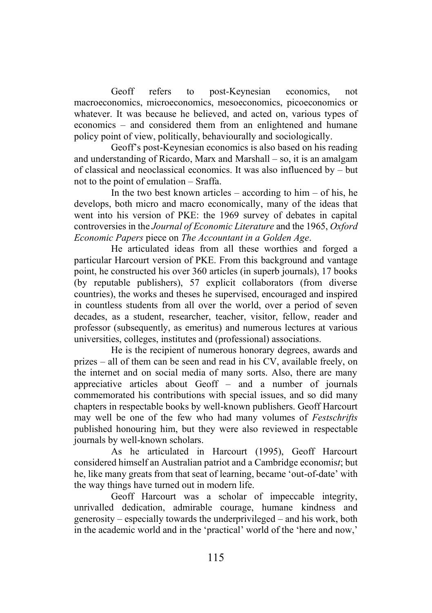Geoff refers to post-Keynesian economics, not macroeconomics, microeconomics, mesoeconomics, picoeconomics or whatever. It was because he believed, and acted on, various types of economics – and considered them from an enlightened and humane policy point of view, politically, behaviourally and sociologically.

Geoff's post-Keynesian economics is also based on his reading and understanding of Ricardo, Marx and Marshall  $-$  so, it is an amalgam of classical and neoclassical economics. It was also influenced by  $-$  but not to the point of emulation – Sraffa.

In the two best known articles  $-\text{according to him} - \text{of his}, \text{he}$ develops, both micro and macro economically, many of the ideas that went into his version of PKE: the 1969 survey of debates in capital controversies in the *Journal of Economic Literature* and the 1965, *Oxford Economic Papers* piece on *The Accountant in a Golden Age*.

He articulated ideas from all these worthies and forged a particular Harcourt version of PKE. From this background and vantage point, he constructed his over 360 articles (in superb journals), 17 books (by reputable publishers), 57 explicit collaborators (from diverse countries), the works and theses he supervised, encouraged and inspired in countless students from all over the world, over a period of seven decades, as a student, researcher, teacher, visitor, fellow, reader and professor (subsequently, as emeritus) and numerous lectures at various universities, colleges, institutes and (professional) associations.

He is the recipient of numerous honorary degrees, awards and  $prizes - all of them can be seen and read in his CV, available freely, on$ the internet and on social media of many sorts. Also, there are many appreciative articles about Geoff  $-\alpha$  and a number of journals commemorated his contributions with special issues, and so did many chapters in respectable books by well-known publishers. Geoff Harcourt may well be one of the few who had many volumes of *Festschrifts*  published honouring him, but they were also reviewed in respectable journals by well-known scholars.

As he articulated in Harcourt (1995), Geoff Harcourt considered himself an Australian patriot and a Cambridge economis*t*; but he, like many greats from that seat of learning, became 'out-of-date' with the way things have turned out in modern life.

Geoff Harcourt was a scholar of impeccable integrity, unrivalled dedication, admirable courage, humane kindness and generosity  $-$  especially towards the underprivileged  $-$  and his work, both in the academic world and in the 'practical' world of the 'here and now,'